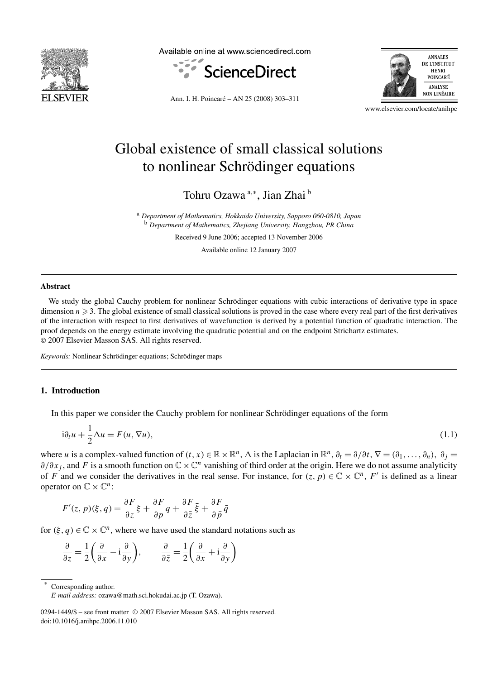

Available online at www.sciencedirect.com





Ann. I. H. Poincaré – AN 25 (2008) 303–311

www.elsevier.com/locate/anihpc

# Global existence of small classical solutions to nonlinear Schrödinger equations

Tohru Ozawa<sup>a,∗</sup>, Jian Zhai <sup>b</sup>

<sup>a</sup> *Department of Mathematics, Hokkaido University, Sapporo 060-0810, Japan* <sup>b</sup> *Department of Mathematics, Zhejiang University, Hangzhou, PR China*

Received 9 June 2006; accepted 13 November 2006

Available online 12 January 2007

#### **Abstract**

We study the global Cauchy problem for nonlinear Schrödinger equations with cubic interactions of derivative type in space dimension  $n \geqslant 3$ . The global existence of small classical solutions is proved in the case where every real part of the first derivatives of the interaction with respect to first derivatives of wavefunction is derived by a potential function of quadratic interaction. The proof depends on the energy estimate involving the quadratic potential and on the endpoint Strichartz estimates. © 2007 Elsevier Masson SAS. All rights reserved.

*Keywords:* Nonlinear Schrödinger equations; Schrödinger maps

# **1. Introduction**

In this paper we consider the Cauchy problem for nonlinear Schrödinger equations of the form

$$
i\partial_t u + \frac{1}{2}\Delta u = F(u, \nabla u),\tag{1.1}
$$

where *u* is a complex-valued function of  $(t, x) \in \mathbb{R} \times \mathbb{R}^n$ ,  $\Delta$  is the Laplacian in  $\mathbb{R}^n$ ,  $\partial_t = \partial/\partial t$ ,  $\nabla = (\partial_1, \ldots, \partial_n)$ ,  $\partial_i =$ *∂/∂x<sub>i</sub>*, and *F* is a smooth function on  $\mathbb{C} \times \mathbb{C}^n$  vanishing of third order at the origin. Here we do not assume analyticity of *F* and we consider the derivatives in the real sense. For instance, for  $(z, p) \in \mathbb{C} \times \mathbb{C}^n$ , *F'* is defined as a linear operator on  $\mathbb{C} \times \mathbb{C}^n$ :

$$
F'(z, p)(\xi, q) = \frac{\partial F}{\partial z}\xi + \frac{\partial F}{\partial p}q + \frac{\partial F}{\partial \bar{z}}\bar{\xi} + \frac{\partial F}{\partial \bar{p}}\bar{q}
$$

for  $(\xi, q) \in \mathbb{C} \times \mathbb{C}^n$ , where we have used the standard notations such as

$$
\frac{\partial}{\partial z} = \frac{1}{2} \left( \frac{\partial}{\partial x} - i \frac{\partial}{\partial y} \right), \qquad \frac{\partial}{\partial \bar{z}} = \frac{1}{2} \left( \frac{\partial}{\partial x} + i \frac{\partial}{\partial y} \right)
$$

Corresponding author.

*E-mail address:* ozawa@math.sci.hokudai.ac.jp (T. Ozawa).

<sup>0294-1449/\$ –</sup> see front matter © 2007 Elsevier Masson SAS. All rights reserved. doi:10.1016/j.anihpc.2006.11.010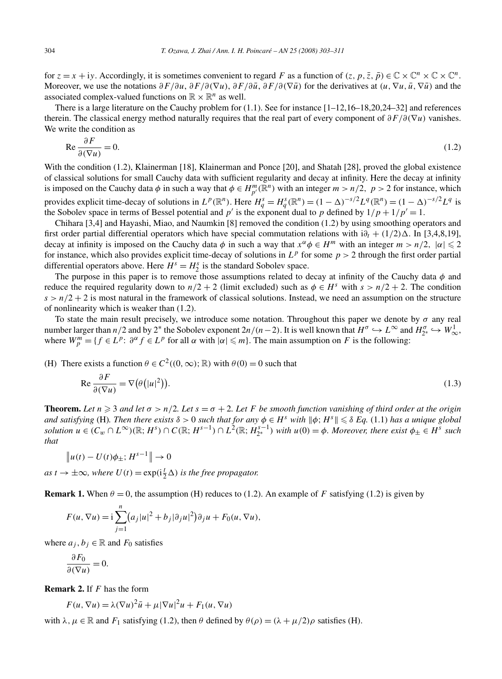for  $z = x + iy$ . Accordingly, it is sometimes convenient to regard *F* as a function of  $(z, p, \overline{z}, \overline{p}) \in \mathbb{C} \times \mathbb{C}^n \times \mathbb{C} \times \mathbb{C}^n$ . Moreover, we use the notations  $\partial F/\partial u$ ,  $\partial F/\partial (\nabla u)$ ,  $\partial F/\partial \bar{u}$ ,  $\partial F/\partial (\nabla \bar{u})$  for the derivatives at  $(u, \nabla u, \bar{u}, \nabla \bar{u})$  and the associated complex-valued functions on  $\mathbb{R} \times \mathbb{R}^n$  as well.

There is a large literature on the Cauchy problem for (1.1). See for instance [1–12,16–18,20,24–32] and references therein. The classical energy method naturally requires that the real part of every component of *∂F/∂(*∇*u)* vanishes. We write the condition as

$$
\operatorname{Re}\frac{\partial F}{\partial(\nabla u)} = 0.\tag{1.2}
$$

With the condition (1.2), Klainerman [18], Klainerman and Ponce [20], and Shatah [28], proved the global existence of classical solutions for small Cauchy data with sufficient regularity and decay at infinity. Here the decay at infinity is imposed on the Cauchy data  $\phi$  in such a way that  $\phi \in H_{p'}^m(\mathbb{R}^n)$  with an integer  $m > n/2$ ,  $p > 2$  for instance, which provides explicit time-decay of solutions in  $L^p(\mathbb{R}^n)$ . Here  $H_q^s = H_q^s(\mathbb{R}^n) = (1 - \Delta)^{-s/2} L^q(\mathbb{R}^n) = (1 - \Delta)^{-s/2} L^q$  is the Sobolev space in terms of Bessel potential and  $p'$  is the exponent dual to  $p$  defined by  $1/p + 1/p' = 1$ .

Chihara [3,4] and Hayashi, Miao, and Naumkin [8] removed the condition (1.2) by using smoothing operators and first order partial differential operators which have special commutation relations with  $i\partial_t + (1/2)\Delta$ . In [3,4,8,19], decay at infinity is imposed on the Cauchy data  $\phi$  in such a way that  $x^{\alpha} \phi \in H^m$  with an integer  $m > n/2$ ,  $|\alpha| \leq 2$ for instance, which also provides explicit time-decay of solutions in  $L^p$  for some  $p > 2$  through the first order partial differential operators above. Here  $H^s = H^s_2$  is the standard Sobolev space.

The purpose in this paper is to remove those assumptions related to decay at infinity of the Cauchy data *φ* and reduce the required regularity down to  $n/2 + 2$  (limit excluded) such as  $\phi \in H^s$  with  $s > n/2 + 2$ . The condition  $s > n/2 + 2$  is most natural in the framework of classical solutions. Instead, we need an assumption on the structure of nonlinearity which is weaker than (1.2).

To state the main result precisely, we introduce some notation. Throughout this paper we denote by  $\sigma$  any real number larger than *n/*2 and by 2<sup>∗</sup> the Sobolev exponent  $2n/(n-2)$ . It is well known that  $H^{\sigma} \hookrightarrow L^{\infty}$  and  $H_{2^*}^{\sigma} \hookrightarrow W_{\infty}^1$ . where  $W_p^m = \{f \in L^p: \partial^\alpha f \in L^p \text{ for all } \alpha \text{ with } |\alpha| \leq m\}$ . The main assumption on *F* is the following:

(H) There exists a function  $\theta \in C^2((0, \infty); \mathbb{R})$  with  $\theta(0) = 0$  such that

$$
\operatorname{Re}\frac{\partial F}{\partial(\nabla u)} = \nabla \big(\theta \big(|u|^2\big)\big). \tag{1.3}
$$

**Theorem.** Let  $n \geq 3$  and let  $\sigma > n/2$ . Let  $s = \sigma + 2$ . Let F be smooth function vanishing of third order at the origin *and satisfying* (H). Then there exists  $\delta > 0$  such that for any  $\phi \in H^s$  with  $\|\phi; H^s\| \leq \delta Eq. (1.1)$  has a unique global solution  $u \in (C_w \cap L^{\infty})(\mathbb{R}; H^s) \cap C(\mathbb{R}; H^{s-1}) \cap L^2(\mathbb{R}; H^{s-1})$  with  $u(0) = \phi$ . Moreover, there exist  $\phi_{\pm} \in H^s$  such *that*

$$
||u(t) - U(t)\phi_{\pm}; H^{s-1}|| \to 0
$$

 $as t \to \pm \infty$ , where  $U(t) = \exp(i\frac{t}{2}\Delta)$  *is the free propagator.* 

**Remark 1.** When  $\theta = 0$ , the assumption (H) reduces to (1.2). An example of *F* satisfying (1.2) is given by

$$
F(u, \nabla u) = \mathrm{i} \sum_{j=1}^{n} (a_j |u|^2 + b_j |\partial_j u|^2) \partial_j u + F_0(u, \nabla u),
$$

where  $a_j, b_j \in \mathbb{R}$  and  $F_0$  satisfies

$$
\frac{\partial F_0}{\partial (\nabla u)} = 0.
$$

**Remark 2.** If *F* has the form

$$
F(u, \nabla u) = \lambda (\nabla u)^2 \bar{u} + \mu |\nabla u|^2 u + F_1(u, \nabla u)
$$

with  $\lambda, \mu \in \mathbb{R}$  and  $F_1$  satisfying (1.2), then  $\theta$  defined by  $\theta(\rho) = (\lambda + \mu/2)\rho$  satisfies (H).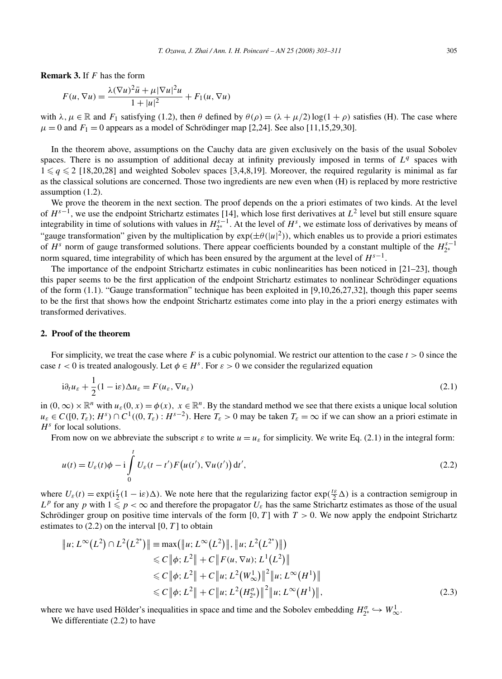**Remark 3.** If *F* has the form

$$
F(u, \nabla u) = \frac{\lambda (\nabla u)^2 \overline{u} + \mu |\nabla u|^2 u}{1 + |u|^2} + F_1(u, \nabla u)
$$

with  $\lambda, \mu \in \mathbb{R}$  and  $F_1$  satisfying (1.2), then  $\theta$  defined by  $\theta(\rho) = (\lambda + \mu/2) \log(1 + \rho)$  satisfies (H). The case where  $\mu = 0$  and  $F_1 = 0$  appears as a model of Schrödinger map [2,24]. See also [11,15,29,30].

In the theorem above, assumptions on the Cauchy data are given exclusively on the basis of the usual Sobolev spaces. There is no assumption of additional decay at infinity previously imposed in terms of  $L<sup>q</sup>$  spaces with  $1 \leq q \leq 2$  [18,20,28] and weighted Sobolev spaces [3,4,8,19]. Moreover, the required regularity is minimal as far as the classical solutions are concerned. Those two ingredients are new even when (H) is replaced by more restrictive assumption (1.2).

We prove the theorem in the next section. The proof depends on the a priori estimates of two kinds. At the level of *Hs*<sup>−</sup>1, we use the endpoint Strichartz estimates [14], which lose first derivatives at *L*<sup>2</sup> level but still ensure square integrability in time of solutions with values in  $H_{2^*}^{s-1}$ . At the level of  $H^s$ , we estimate loss of derivatives by means of "gauge transformation" given by the multiplication by  $exp(\pm \theta(|u|^2))$ , which enables us to provide a priori estimates of  $H^s$  norm of gauge transformed solutions. There appear coefficients bounded by a constant multiple of the  $H^{s-1}_{2*}$ norm squared, time integrability of which has been ensured by the argument at the level of  $H^{s-1}$ .

The importance of the endpoint Strichartz estimates in cubic nonlinearities has been noticed in [21–23], though this paper seems to be the first application of the endpoint Strichartz estimates to nonlinear Schrödinger equations of the form  $(1.1)$ . "Gauge transformation" technique has been exploited in [9,10,26,27,32], though this paper seems to be the first that shows how the endpoint Strichartz estimates come into play in the a priori energy estimates with transformed derivatives.

### **2. Proof of the theorem**

For simplicity, we treat the case where F is a cubic polynomial. We restrict our attention to the case  $t > 0$  since the case  $t < 0$  is treated analogously. Let  $\phi \in H^s$ . For  $\varepsilon > 0$  we consider the regularized equation

$$
i\partial_t u_{\varepsilon} + \frac{1}{2}(1 - i\varepsilon)\Delta u_{\varepsilon} = F(u_{\varepsilon}, \nabla u_{\varepsilon})
$$
\n(2.1)

in  $(0, \infty) \times \mathbb{R}^n$  with  $u_\varepsilon(0, x) = \phi(x)$ ,  $x \in \mathbb{R}^n$ . By the standard method we see that there exists a unique local solution  $u_{\varepsilon} \in C([0, T_{\varepsilon}); H^{s}) \cap C^{1}((0, T_{\varepsilon}): H^{s-2})$ . Here  $T_{\varepsilon} > 0$  may be taken  $T_{\varepsilon} = \infty$  if we can show an a priori estimate in *H<sup>s</sup>* for local solutions.

From now on we abbreviate the subscript  $\varepsilon$  to write  $u = u_{\varepsilon}$  for simplicity. We write Eq. (2.1) in the integral form:

$$
u(t) = U_{\varepsilon}(t)\phi - i\int_{0}^{t} U_{\varepsilon}(t - t')F(u(t'), \nabla u(t')) dt',
$$
\n(2.2)

where  $U_{\varepsilon}(t) = \exp(i\frac{t}{2}(1 - i\varepsilon)\Delta)$ . We note here that the regularizing factor  $\exp(\frac{t\varepsilon}{2}\Delta)$  is a contraction semigroup in  $L^p$  for any *p* with  $1 \leq p < \infty$  and therefore the propagator  $U_\varepsilon$  has the same Strichartz estimates as those of the usual Schrödinger group on positive time intervals of the form [0, *T*] with *T* > 0. We now apply the endpoint Strichartz estimates to  $(2.2)$  on the interval  $[0, T]$  to obtain

$$
\|u; L^{\infty}(L^{2}) \cap L^{2}(L^{2^{*}})\| = \max(\|u; L^{\infty}(L^{2})\|, \|u; L^{2}(L^{2^{*}})\|)
$$
  
\n
$$
\leq C \|\phi; L^{2}\| + C \|F(u, \nabla u); L^{1}(L^{2})\|
$$
  
\n
$$
\leq C \|\phi; L^{2}\| + C \|u; L^{2}(W_{\infty}^{1})\|^{2} \|u; L^{\infty}(H^{1})\|
$$
  
\n
$$
\leq C \|\phi; L^{2}\| + C \|u; L^{2}(H_{2^{*}}^{\sigma})\|^{2} \|u; L^{\infty}(H^{1})\|,
$$
  
\n(2.3)

where we have used Hölder's inequalities in space and time and the Sobolev embedding  $H_{2^*}^{\sigma} \hookrightarrow W^1_{\infty}$ . We differentiate (2.2) to have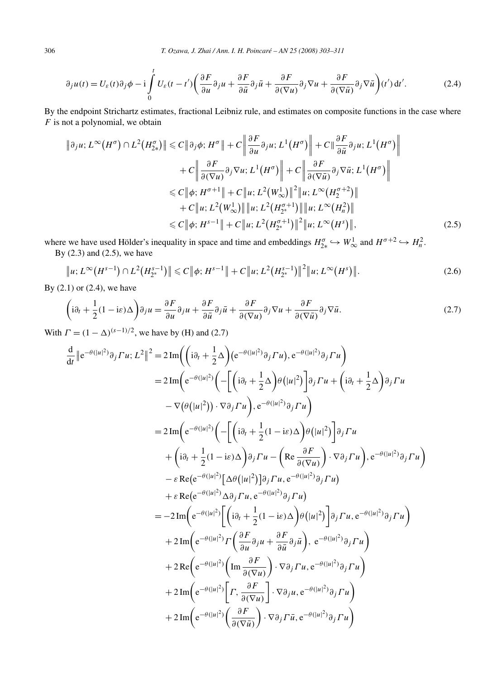$$
\partial_j u(t) = U_{\varepsilon}(t)\partial_j \phi - i \int_0^t U_{\varepsilon}(t - t') \left( \frac{\partial F}{\partial u} \partial_j u + \frac{\partial F}{\partial \bar{u}} \partial_j \bar{u} + \frac{\partial F}{\partial (\nabla u)} \partial_j \nabla u + \frac{\partial F}{\partial (\nabla \bar{u})} \partial_j \nabla \bar{u} \right) (t') dt'. \tag{2.4}
$$

By the endpoint Strichartz estimates, fractional Leibniz rule, and estimates on composite functions in the case where *F* is not a polynomial, we obtain

$$
\|\partial_j u; L^{\infty}(H^{\sigma}) \cap L^2(H^{\sigma}_{2*})\| \leq C \|\partial_j \phi; H^{\sigma}\| + C \left\| \frac{\partial F}{\partial u} \partial_j u; L^1(H^{\sigma}) \right\| + C \|\frac{\partial F}{\partial \bar{u}} \partial_j u; L^1(H^{\sigma}) \right\| + C \left\| \frac{\partial F}{\partial (\nabla u)} \partial_j \nabla u; L^1(H^{\sigma}) \right\| + C \left\| \frac{\partial F}{\partial (\nabla \bar{u})} \partial_j \nabla \bar{u}; L^1(H^{\sigma}) \right\| \leq C \|\phi; H^{\sigma+1}\| + C \|u; L^2(W_{\infty}^1)\|^2 \|u; L^{\infty}(H_2^{\sigma+2}) \| + C \|u; L^2(W_{\infty}^1)\| \|u; L^2(H_{2*}^{\sigma+1})\| \|u; L^{\infty}(H_n^2) \| \leq C \|\phi; H^{s-1}\| + C \|u; L^2(H_{2*}^{\sigma+1})\|^2 \|u; L^{\infty}(H^s)\|,
$$
\n(2.5)

where we have used Hölder's inequality in space and time and embeddings  $H_{2*}^{\sigma} \hookrightarrow W_{\infty}^1$  and  $H^{\sigma+2} \hookrightarrow H_n^2$ . By (2.3) and (2.5), we have

$$
\|u; L^{\infty}(H^{s-1}) \cap L^{2}(H^{s-1}_{2^{*}})\| \leq C \|\phi; H^{s-1}\| + C \|u; L^{2}(H^{s-1}_{2^{*}})\|^{2} \|u; L^{\infty}(H^{s})\|.
$$
\n(2.6)

By (2.1) or (2.4), we have

$$
\left(i\partial_t + \frac{1}{2}(1 - i\varepsilon)\Delta\right)\partial_j u = \frac{\partial F}{\partial u}\partial_j u + \frac{\partial F}{\partial \bar{u}}\partial_j \bar{u} + \frac{\partial F}{\partial (\nabla u)}\partial_j \nabla u + \frac{\partial F}{\partial (\nabla \bar{u})}\partial_j \nabla \bar{u}.
$$
\n(2.7)

With  $\Gamma = (1 - \Delta)^{(s-1)/2}$ , we have by (H) and (2.7)

$$
\frac{d}{dt} ||e^{-\theta(|u|^2)} \partial_j \Gamma u; L^2 ||^2 = 2 \operatorname{Im} \left( \left( i \partial_t + \frac{1}{2} \Delta \right) (e^{-\theta(|u|^2)} \partial_j \Gamma u), e^{-\theta(|u|^2)} \partial_j \Gamma u \right)
$$
\n
$$
= 2 \operatorname{Im} \left( e^{-\theta(|u|^2)} \left( - \left[ \left( i \partial_t + \frac{1}{2} \Delta \right) \theta (|u|^2) \right] \partial_j \Gamma u + \left( i \partial_t + \frac{1}{2} \Delta \right) \partial_j \Gamma u \right. \right)
$$
\n
$$
- \nabla (\theta (|u|^2)) \cdot \nabla \partial_j \Gamma u \right), e^{-\theta(|u|^2)} \partial_j \Gamma u
$$
\n
$$
= 2 \operatorname{Im} \left( e^{-\theta(|u|^2)} \left( - \left[ \left( i \partial_t + \frac{1}{2} (1 - i \varepsilon) \Delta \right) \theta (|u|^2) \right] \partial_j \Gamma u \right. \right)
$$
\n
$$
+ \left( i \partial_t + \frac{1}{2} (1 - i \varepsilon) \Delta \right) \partial_j \Gamma u - \left( \operatorname{Re} \frac{\partial F}{\partial (\nabla u)} \right) \cdot \nabla \partial_j \Gamma u \right), e^{-\theta(|u|^2)} \partial_j \Gamma u \right)
$$
\n
$$
- \varepsilon \operatorname{Re} (e^{-\theta(|u|^2)} \left[ \Delta \theta (|u|^2) \right] \partial_j \Gamma u, e^{-\theta(|u|^2)} \partial_j \Gamma u)
$$
\n
$$
+ \varepsilon \operatorname{Re} (e^{-\theta(|u|^2)} \left[ \left( i \partial_t + \frac{1}{2} (1 - i \varepsilon) \Delta \right) \theta (|u|^2) \right] \partial_j \Gamma u, e^{-\theta(|u|^2)} \partial_j \Gamma u \right)
$$
\n
$$
+ 2 \operatorname{Im} \left( e^{-\theta(|u|^2)} \Gamma \left( \frac{\partial F}{\partial u} \partial_j u + \frac{\partial F}{\partial u} \partial_j \overline{u} \right), e^{-\theta(|u|^2)} \partial_j \Gamma u \right)
$$
\n
$$
+ 2 \operatorname{Re} \left( e^{-\theta(|u|^2)} \left( \operatorname{Im} \frac{\partial F}{\partial (\nabla u
$$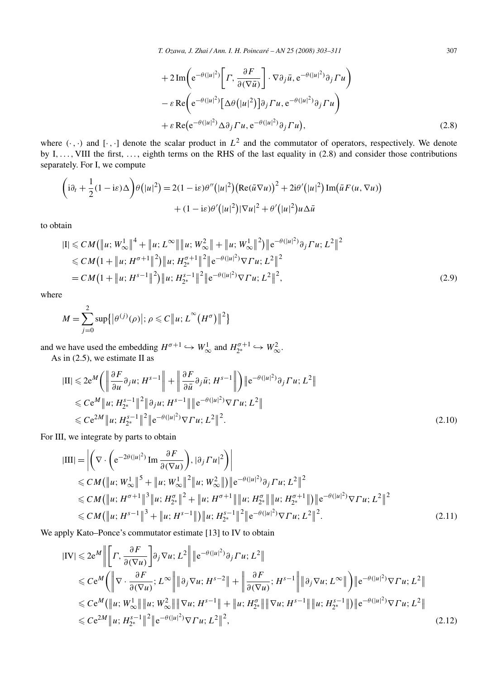+ 
$$
2 \operatorname{Im} \left( e^{-\theta(|u|^2)} \left[ \Gamma, \frac{\partial F}{\partial (\nabla \bar{u})} \right] \cdot \nabla \partial_j \bar{u}, e^{-\theta(|u|^2)} \partial_j \Gamma u \right)
$$
  
\n-  $\varepsilon \operatorname{Re} \left( e^{-\theta(|u|^2)} \left[ \Delta \theta(|u|^2) \right] \partial_j \Gamma u, e^{-\theta(|u|^2)} \partial_j \Gamma u \right)$   
\n+  $\varepsilon \operatorname{Re} (e^{-\theta(|u|^2)} \Delta \partial_j \Gamma u, e^{-\theta(|u|^2)} \partial_j \Gamma u),$  (2.8)

where  $(\cdot, \cdot)$  and  $[\cdot, \cdot]$  denote the scalar product in  $L^2$  and the commutator of operators, respectively. We denote by I,..., VIII the first, ..., eighth terms on the RHS of the last equality in (2.8) and consider those contributions separately. For I, we compute

$$
\left(i\partial_t + \frac{1}{2}(1 - i\varepsilon)\Delta\right)\theta\left(|u|^2\right) = 2(1 - i\varepsilon)\theta''\left(|u|^2\right)\left(\text{Re}(\bar{u}\nabla u)\right)^2 + 2i\theta'\left(|u|^2\right)\text{Im}\left(\bar{u}F(u,\nabla u)\right) + (1 - i\varepsilon)\theta'\left(|u|^2\right)\left|\nabla u\right|^2 + \theta'\left(|u|^2\right)u\Delta\bar{u}
$$

to obtain

$$
|I| \leq C M \left( \|u; W_{\infty}^1 \right)^4 + \|u; L^{\infty} \| \|u; W_{\infty}^2 \| + \|u; W_{\infty}^1 \|^2 \right) \|e^{-\theta(|u|^2)} \partial_j \Gamma u; L^2 \|^2
$$
  
\n
$$
\leq C M \left( 1 + \|u; H^{\sigma+1} \|^2 \right) \|u; H_{2^*}^{\sigma+1} \|^2 \|e^{-\theta(|u|^2)} \nabla \Gamma u; L^2 \|^2
$$
  
\n
$$
= C M \left( 1 + \|u; H^{s-1} \|^2 \right) \|u; H_{2^*}^{s-1} \|^2 \|e^{-\theta(|u|^2)} \nabla \Gamma u; L^2 \|^2,
$$
\n(2.9)

where

$$
M = \sum_{j=0}^{2} \sup \{ |\theta^{(j)}(\rho)|; \, \rho \leq C ||u; L^{\infty}(H^{\sigma})||^{2} \}
$$

and we have used the embedding  $H^{\sigma+1} \hookrightarrow W^1_{\infty}$  and  $H^{\sigma+1}_{2^*} \hookrightarrow W^2_{\infty}$ .

As in  $(2.5)$ , we estimate II as

2

$$
|\Pi| \leq 2e^{M} \left( \left\| \frac{\partial F}{\partial u} \partial_{j} u; H^{s-1} \right\| + \left\| \frac{\partial F}{\partial \bar{u}} \partial_{j} \bar{u}; H^{s-1} \right\| \right) \| e^{-\theta(|u|^{2})} \partial_{j} \Gamma u; L^{2} \|
$$
  
\n
$$
\leq C e^{M} \| u; H_{2^{*}}^{s-1} \|^{2} \| \partial_{j} u; H^{s-1} \| \| e^{-\theta(|u|^{2})} \nabla \Gamma u; L^{2} \|
$$
  
\n
$$
\leq C e^{2M} \| u; H_{2^{*}}^{s-1} \|^{2} \| e^{-\theta(|u|^{2})} \nabla \Gamma u; L^{2} \|^{2} .
$$
\n(2.10)

For III, we integrate by parts to obtain

$$
|\text{III}| = \left| \left( \nabla \cdot \left( e^{-2\theta(|u|^2)} \text{Im} \frac{\partial F}{\partial (\nabla u)} \right), |\partial_j \Gamma u|^2 \right) \right|
$$
  
\n
$$
\leq C M (\|u; W_{\infty}^1\|^5 + \|u; W_{\infty}^1\|^2 \|u; W_{\infty}^2\|) \|e^{-\theta(|u|^2)} \partial_j \Gamma u; L^2 \|^2
$$
  
\n
$$
\leq C M (\|u; H^{\sigma+1}\|^3 \|u; H_{2^*}^{\sigma}\|^2 + \|u; H^{\sigma+1}\| \|u; H_{2^*}^{\sigma}\| \|u; H_{2^*}^{\sigma+1}\|) \|e^{-\theta(|u|^2)} \nabla \Gamma u; L^2 \|^2
$$
  
\n
$$
\leq C M (\|u; H^{s-1}\|^3 + \|u; H^{s-1}\|) \|u; H_{2^*}^{s-1}\|^2 \|e^{-\theta(|u|^2)} \nabla \Gamma u; L^2 \|^2.
$$
 (2.11)

We apply Kato–Ponce's commutator estimate [13] to IV to obtain

$$
|IV| \leq 2e^{M} \left\| \left[ \Gamma, \frac{\partial F}{\partial (\nabla u)} \right] \partial_{j} \nabla u; L^{2} \right\| \|e^{-\theta(|u|^{2})} \partial_{j} \Gamma u; L^{2} \|
$$
  
\n
$$
\leq C e^{M} \left( \left\| \nabla \cdot \frac{\partial F}{\partial (\nabla u)} ; L^{\infty} \right\| \|\partial_{j} \nabla u; H^{s-2} \| + \left\| \frac{\partial F}{\partial (\nabla u)} ; H^{s-1} \right\| \|\partial_{j} \nabla u; L^{\infty} \| \right) \|e^{-\theta(|u|^{2})} \nabla \Gamma u; L^{2} \|
$$
  
\n
$$
\leq C e^{M} \left( \|u; W_{\infty}^{1} \| \|u; W_{\infty}^{2} \| \|\nabla u; H^{s-1} \| + \|u; H^{s}_{2^{*}} \| \|\nabla u; H^{s-1} \| \|u; H^{s-1}_{2^{*}} \| \right) \|e^{-\theta(|u|^{2})} \nabla \Gamma u; L^{2} \|
$$
  
\n
$$
\leq C e^{2M} \|u; H^{s-1}_{2^{*}} \|^{2} \|e^{-\theta(|u|^{2})} \nabla \Gamma u; L^{2} \|^{2},
$$
\n(2.12)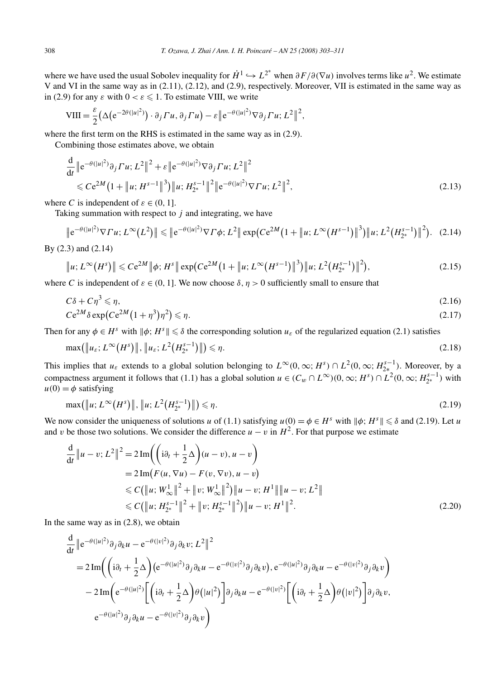where we have used the usual Sobolev inequality for  $\dot{H}^1 \hookrightarrow L^{2^*}$  when  $\partial F/\partial(\nabla u)$  involves terms like  $u^2$ . We estimate V and VI in the same way as in (2.11), (2.12), and (2.9), respectively. Moreover, VII is estimated in the same way as in (2.9) for any  $\varepsilon$  with  $0 < \varepsilon \leq 1$ . To estimate VIII, we write

$$
VIII = \frac{\varepsilon}{2} \big( \Delta \big( e^{-2\theta(|u|^2)} \big) \cdot \partial_j \Gamma u, \partial_j \Gamma u \big) - \varepsilon \big\| e^{-\theta(|u|^2)} \nabla \partial_j \Gamma u; L^2 \big\|^2,
$$

where the first term on the RHS is estimated in the same way as in (2.9).

Combining those estimates above, we obtain

$$
\frac{d}{dt} \|e^{-\theta(|u|^2)} \partial_j \Gamma u; L^2\|^2 + \varepsilon \|e^{-\theta(|u|^2)} \nabla \partial_j \Gamma u; L^2\|^2 \n\leq C e^{2M} \left(1 + \|u; H^{s-1}\|^3\right) \|u; H^{s-1}_{2^*}\|^2 \|e^{-\theta(|u|^2)} \nabla \Gamma u; L^2\|^2,
$$
\n(2.13)

where *C* is independent of  $\varepsilon \in (0, 1]$ .

Taking summation with respect to *j* and integrating, we have

$$
\|e^{-\theta(|u|^2)}\nabla \Gamma u; L^{\infty}(L^2)\| \leqslant \|e^{-\theta(|u|^2)}\nabla \Gamma \phi; L^2\| \exp\bigl(Ce^{2M}\bigl(1+\|u; L^{\infty}(H^{s-1})\|^{3}\bigr)\|u; L^2\bigl(H^{s-1}_{2^*}\bigr)\|^{2}\bigr). \tag{2.14}
$$

By (2.3) and (2.14)

$$
\|u; L^{\infty}(H^{s})\| \leq C e^{2M} \|\phi; H^{s}\| \exp(C e^{2M} \left(1 + \|u; L^{\infty}(H^{s-1})\|^{3}\right) \|u; L^{2}(H_{2^{*}}^{s-1})\|^{2}\right),
$$
\n(2.15)

where *C* is independent of  $\varepsilon \in (0, 1]$ . We now choose  $\delta, \eta > 0$  sufficiently small to ensure that

$$
C\delta + C\eta^3 \le \eta,\tag{2.16}
$$
\n
$$
C\delta^{2M} \le \eta, \tag{2.17}
$$

$$
Ce^{2M}\delta \exp\left( Ce^{2M}\left(1+\eta^3\right)\eta^2\right) \leqslant \eta. \tag{2.17}
$$

Then for any  $\phi \in H^s$  with  $\|\phi: H^s\| \leq \delta$  the corresponding solution  $u_{\varepsilon}$  of the regularized equation (2.1) satisfies

$$
\max(\|u_{\varepsilon}; L^{\infty}(H^{s})\|, \|u_{\varepsilon}; L^{2}(H^{s-1}_{2^*})\|) \leq \eta.
$$
\n(2.18)

This implies that  $u_{\varepsilon}$  extends to a global solution belonging to  $L^{\infty}(0,\infty; H^{s}) \cap L^{2}(0,\infty; H^{s-1}_{2*})$ . Moreover, by a compactness argument it follows that (1.1) has a global solution  $u \in (C_w \cap L^{\infty})(0, \infty; H^s) \cap L^2(0, \infty; H^{s-1}_{2^*})$  with  $u(0) = \phi$  satisfying

$$
\max(\|u; L^{\infty}(H^s)\|, \|u; L^2(H_{2^*}^{s-1})\|) \leq \eta.
$$
\n(2.19)

We now consider the uniqueness of solutions *u* of (1.1) satisfying  $u(0) = \phi \in H^s$  with  $\|\phi\|$ ;  $H^s \| \leq \delta$  and (2.19). Let *u* and *v* be those two solutions. We consider the difference  $u - v$  in  $H^2$ . For that purpose we estimate

$$
\frac{d}{dt} \|u - v; L^2\|^2 = 2 \operatorname{Im} \left( \left( i\partial_t + \frac{1}{2} \Delta \right) (u - v), u - v \right)
$$
\n
$$
= 2 \operatorname{Im} (F(u, \nabla u) - F(v, \nabla v), u - v)
$$
\n
$$
\leq C (\|u; W_\infty^1\|^2 + \|v; W_\infty^1\|^2) \|u - v; H^1\| \|u - v; L^2\|
$$
\n
$$
\leq C (\|u; H_{2^*}^{s-1}\|^2 + \|v; H_{2^*}^{s-1}\|^2) \|u - v; H^1\|^2. \tag{2.20}
$$

In the same way as in  $(2.8)$ , we obtain

$$
\frac{d}{dt} \left\| e^{-\theta(|u|^2)} \partial_j \partial_k u - e^{-\theta(|v|^2)} \partial_j \partial_k v; L^2 \right\|^2
$$
\n
$$
= 2 \operatorname{Im} \left( \left( i \partial_t + \frac{1}{2} \Delta \right) \left( e^{-\theta(|u|^2)} \partial_j \partial_k u - e^{-\theta(|v|^2)} \partial_j \partial_k v \right), e^{-\theta(|u|^2)} \partial_j \partial_k u - e^{-\theta(|v|^2)} \partial_j \partial_k v \right)
$$
\n
$$
- 2 \operatorname{Im} \left( e^{-\theta(|u|^2)} \left[ \left( i \partial_t + \frac{1}{2} \Delta \right) \theta(|u|^2) \right] \partial_j \partial_k u - e^{-\theta(|v|^2)} \left[ \left( i \partial_t + \frac{1}{2} \Delta \right) \theta(|v|^2) \right] \partial_j \partial_k v,
$$
\n
$$
e^{-\theta(|u|^2)} \partial_j \partial_k u - e^{-\theta(|v|^2)} \partial_j \partial_k v \right)
$$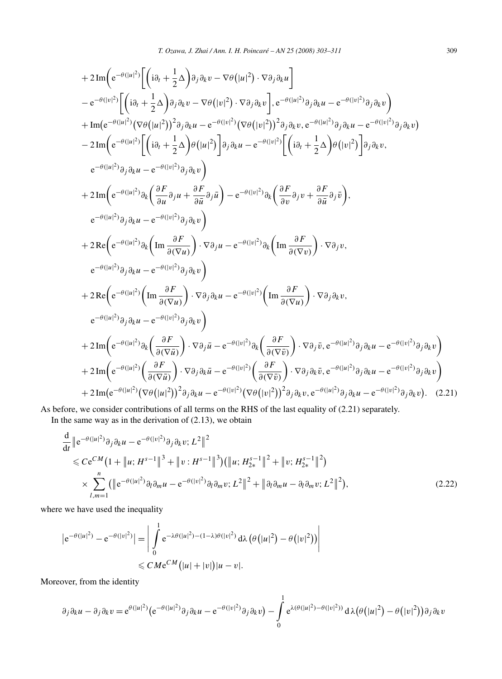+ 2 Im
$$
\left(e^{-\theta(|u|^2)}\left[\left(i\partial_t + \frac{1}{2}\Delta\right)\partial_j \partial_k v - \nabla\theta(|u|^2) \cdot \nabla \partial_j \partial_k u\right]\right]
$$
  
\n-  $e^{-\theta(|v|^2)}\left[\left(i\partial_t + \frac{1}{2}\Delta\right)\partial_j \partial_k v - \nabla\theta(|v|^2) \cdot \nabla \partial_j \partial_k v\right], e^{-\theta(|u|^2)}\partial_j \partial_k u - e^{-\theta(|v|^2)}\partial_j \partial_k v\right)$   
\n+ Im $\left(e^{-\theta(|u|^2)}\left[\nabla\theta(|u|^2)\right]^2 \partial_j \partial_k u - e^{-\theta(|v|^2)}\left[\nabla\theta(|v|^2)\right]^2 \partial_j \partial_k v, e^{-\theta(|u|^2)}\partial_j \partial_k u - e^{-\theta(|v|^2)}\partial_j \partial_k v\right]$   
\n- 2 Im $\left(e^{-\theta(|u|^2)}\left[\left(i\partial_t + \frac{1}{2}\Delta\right)\theta(|u|^2)\right] \partial_j \partial_k u - e^{-\theta(|v|^2)}\left[\left(i\partial_t + \frac{1}{2}\Delta\right)\theta(|v|^2)\right] \partial_j \partial_k v,$   
\n $e^{-\theta(|u|^2)}\partial_j \partial_k u - e^{-\theta(|v|^2)}\partial_j \partial_k v\right)$   
\n+ 2 Im $\left(e^{-\theta(|u|^2)}\partial_k \left(\frac{\partial F}{\partial u}\partial_j u + \frac{\partial F}{\partial u}\partial_j \bar{u}\right) - e^{-\theta(|v|^2)}\partial_k \left(\frac{\partial F}{\partial v}\partial_j v + \frac{\partial F}{\partial u}\partial_j \bar{v}\right),$   
\n $e^{-\theta(|u|^2)}\partial_j \partial_k u - e^{-\theta(|v|^2)}\partial_j \partial_k v\right)$   
\n+ 2 Re $\left(e^{-\theta(|u|^2)}\partial_k \left(\text{Im}\frac{\partial F}{\partial(\nabla u)}\right) \cdot \nabla \partial_j u - e^{-\theta(|v|^2)}\partial_k \left(\text{Im}\frac{\partial F}{\partial(\nabla v)}\right) \cdot \nabla \partial_j v,$   
\n $e^{-\theta(|u|^2)}\partial_j \partial_k u - e^{-\theta(|v|^2)}\partial_j \partial_k v\right)$   
\n+ 2 Re $\left(e^{-\theta(|u|^2)}\left(\text$ 

As before, we consider contributions of all terms on the RHS of the last equality of (2.21) separately. In the same way as in the derivation of (2.13), we obtain

$$
\frac{d}{dt} \|e^{-\theta(|u|^2)} \partial_j \partial_k u - e^{-\theta(|v|^2)} \partial_j \partial_k v; L^2 \|^2 \n\leq C e^{CM} (1 + \|u; H^{s-1} \|^3 + \|v; H^{s-1} \|^3) (\|u; H^{s-1} \|^2 + \|v; H^{s-1} \|^2) \n\times \sum_{l,m=1}^n ( \|e^{-\theta(|u|^2)} \partial_l \partial_m u - e^{-\theta(|v|^2)} \partial_l \partial_m v; L^2 \|^2 + \| \partial_l \partial_m u - \partial_l \partial_m v; L^2 \|^2),
$$
\n(2.22)

where we have used the inequality

$$
|e^{-\theta(|u|^2)} - e^{-\theta(|v|^2)}| = \left| \int_{0}^{1} e^{-\lambda \theta(|u|^2) - (1-\lambda)\theta(|v|^2)} d\lambda \left(\theta(|u|^2) - \theta(|v|^2)\right) \right|
$$
  

$$
\leq C M e^{CM} (|u| + |v|) |u - v|.
$$

Moreover, from the identity

$$
\partial_j \partial_k u - \partial_j \partial_k v = e^{\theta(|u|^2)} \left( e^{-\theta(|u|^2)} \partial_j \partial_k u - e^{-\theta(|v|^2)} \partial_j \partial_k v \right) - \int_0^1 e^{\lambda(\theta(|u|^2) - \theta(|v|^2))} d\lambda(\theta(|u|^2) - \theta(|v|^2)) \partial_j \partial_k v
$$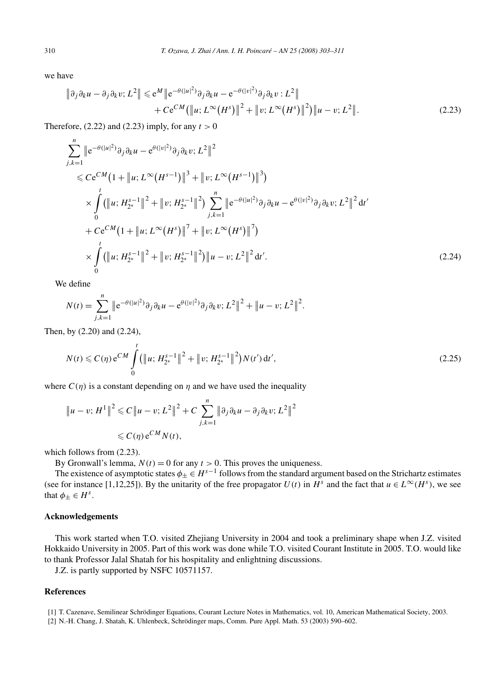we have

$$
\|\partial_j \partial_k u - \partial_j \partial_k v; L^2\| \leq e^M \|e^{-\theta(|u|^2)} \partial_j \partial_k u - e^{-\theta(|v|^2)} \partial_j \partial_k v; L^2\| + Ce^{CM} (\|u; L^\infty(H^s)\|^2 + \|v; L^\infty(H^s)\|^2) \|u - v; L^2\|.
$$
 (2.23)

Therefore,  $(2.22)$  and  $(2.23)$  imply, for any  $t > 0$ 

$$
\sum_{j,k=1}^{n} \|e^{-\theta(|u|^2)} \partial_j \partial_k u - e^{\theta(|v|^2)} \partial_j \partial_k v; L^2 \|^2
$$
  
\n
$$
\leq C e^{CM} \left(1 + \|u; L^{\infty} (H^{s-1}) \|^3 + \|v; L^{\infty} (H^{s-1}) \|^3 \right)
$$
  
\n
$$
\times \int_{0}^{t} (\|u; H_{2^*}^{s-1} \|^2 + \|v; H_{2^*}^{s-1} \|^2) \sum_{j,k=1}^{n} \|e^{-\theta(|u|^2)} \partial_j \partial_k u - e^{\theta(|v|^2)} \partial_j \partial_k v; L^2 \|^2 dt'
$$
  
\n
$$
+ C e^{CM} \left(1 + \|u; L^{\infty} (H^s) \|^7 + \|v; L^{\infty} (H^s) \|^7 \right)
$$
  
\n
$$
\times \int_{0}^{t} (\|u; H_{2^*}^{s-1} \|^2 + \|v; H_{2^*}^{s-1} \|^2) \|u - v; L^2 \|^2 dt'.
$$
\n(2.24)

We define

$$
N(t) = \sum_{j,k=1}^{n} \|e^{-\theta(|u|^2)} \partial_j \partial_k u - e^{\theta(|v|^2)} \partial_j \partial_k v; L^2 \|^2 + \|u - v; L^2 \|^2.
$$

Then, by (2.20) and (2.24),

$$
N(t) \leqslant C(\eta) e^{CM} \int_{0}^{t} (\|u; H_{2^*}^{s-1}\|^2 + \|v; H_{2^*}^{s-1}\|^2) N(t') dt', \tag{2.25}
$$

where  $C(\eta)$  is a constant depending on  $\eta$  and we have used the inequality

$$
\|u - v; H^1\|^2 \leq C \|u - v; L^2\|^2 + C \sum_{j,k=1}^n \|\partial_j \partial_k u - \partial_j \partial_k v; L^2\|^2
$$
  

$$
\leq C(\eta) e^{CM} N(t),
$$

which follows from (2.23).

By Gronwall's lemma,  $N(t) = 0$  for any  $t > 0$ . This proves the uniqueness.

The existence of asymptotic states  $\phi_+ \in H^{s-1}$  follows from the standard argument based on the Strichartz estimates (see for instance [1,12,25]). By the unitarity of the free propagator  $U(t)$  in  $H^s$  and the fact that  $u \in L^\infty(H^s)$ , we see that  $\phi_{\pm} \in H^s$ .

# **Acknowledgements**

This work started when T.O. visited Zhejiang University in 2004 and took a preliminary shape when J.Z. visited Hokkaido University in 2005. Part of this work was done while T.O. visited Courant Institute in 2005. T.O. would like to thank Professor Jalal Shatah for his hospitality and enlightning discussions.

J.Z. is partly supported by NSFC 10571157.

# **References**

<sup>[1]</sup> T. Cazenave, Semilinear Schrödinger Equations, Courant Lecture Notes in Mathematics, vol. 10, American Mathematical Society, 2003.

<sup>[2]</sup> N.-H. Chang, J. Shatah, K. Uhlenbeck, Schrödinger maps, Comm. Pure Appl. Math. 53 (2003) 590–602.